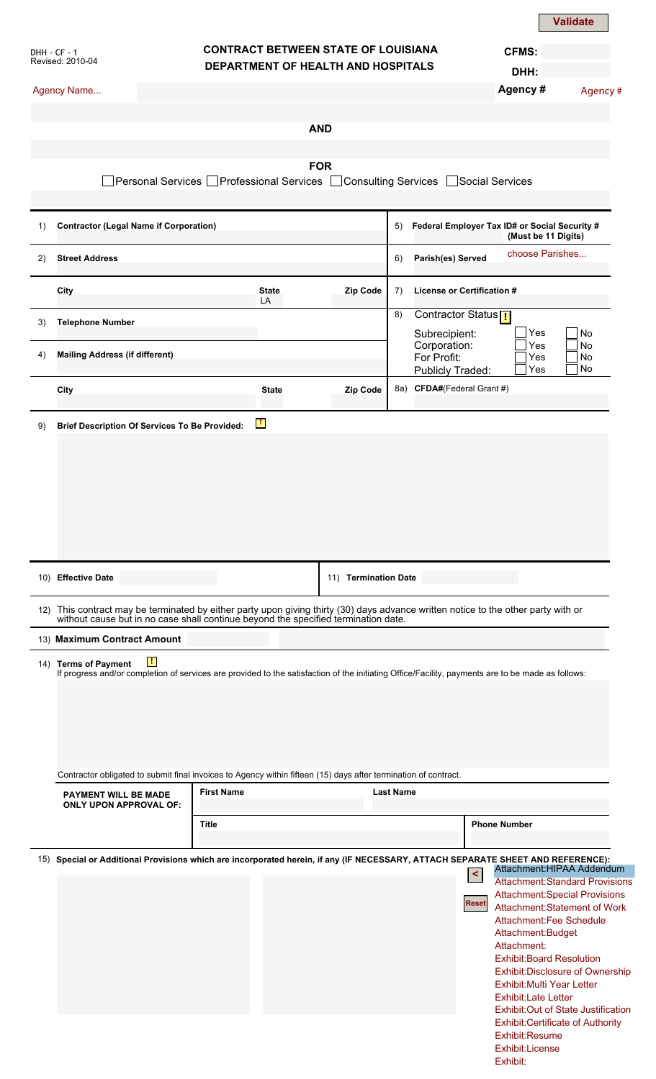|                                  |                                                                                                                                                                                                                       |                                                                                  |                      |                             | <b>Create Electronic Record</b>                 |                                               | <b>Validate</b>                        |  |
|----------------------------------|-----------------------------------------------------------------------------------------------------------------------------------------------------------------------------------------------------------------------|----------------------------------------------------------------------------------|----------------------|-----------------------------|-------------------------------------------------|-----------------------------------------------|----------------------------------------|--|
| DHH - CF - 1<br>Revised: 2010-04 |                                                                                                                                                                                                                       | <b>CONTRACT BETWEEN STATE OF LOUISIANA</b><br>DEPARTMENT OF HEALTH AND HOSPITALS |                      |                             |                                                 | <b>CFMS:</b>                                  |                                        |  |
|                                  |                                                                                                                                                                                                                       |                                                                                  |                      |                             |                                                 | DHH:                                          |                                        |  |
|                                  | Agency Name                                                                                                                                                                                                           |                                                                                  |                      |                             |                                                 | Agency #                                      | Agency #                               |  |
|                                  |                                                                                                                                                                                                                       |                                                                                  | <b>AND</b>           |                             |                                                 |                                               |                                        |  |
|                                  |                                                                                                                                                                                                                       |                                                                                  |                      |                             |                                                 |                                               |                                        |  |
|                                  |                                                                                                                                                                                                                       |                                                                                  | <b>FOR</b>           |                             |                                                 |                                               |                                        |  |
|                                  | Personal Services [                                                                                                                                                                                                   | ■ Professional Services ■ Consulting Services ■ Social Services                  |                      |                             |                                                 |                                               |                                        |  |
| 1)                               |                                                                                                                                                                                                                       | <b>Contractor (Legal Name if Corporation)</b>                                    |                      | 5)                          |                                                 | Federal Employer Tax ID# or Social Security # |                                        |  |
| 2)                               | <b>Street Address</b>                                                                                                                                                                                                 |                                                                                  |                      | 6)                          | Parish(es) Served                               |                                               | (Must be 11 Digits)<br>choose Parishes |  |
|                                  |                                                                                                                                                                                                                       |                                                                                  |                      |                             |                                                 |                                               |                                        |  |
|                                  | City                                                                                                                                                                                                                  | <b>State</b><br>LA                                                               | Zip Code             | 7)<br>8)                    | License or Certification #                      |                                               |                                        |  |
| 3)                               | <b>Telephone Number</b>                                                                                                                                                                                               |                                                                                  |                      |                             | Contractor Status <sub>[</sub><br>Subrecipient: | Yes                                           | No                                     |  |
| 4)                               | <b>Mailing Address (if different)</b>                                                                                                                                                                                 |                                                                                  |                      | Corporation:<br>For Profit: | Yes<br>No<br>Yes<br>No                          |                                               |                                        |  |
|                                  |                                                                                                                                                                                                                       |                                                                                  |                      |                             | <b>Publicly Traded:</b>                         | Yes                                           | No                                     |  |
|                                  | City                                                                                                                                                                                                                  | <b>State</b>                                                                     | Zip Code             |                             | 8a) CFDA#(Federal Grant #)                      |                                               |                                        |  |
| 9)                               | <b>Brief Description Of Services To Be Provided:</b>                                                                                                                                                                  | $\mathbf{F}$                                                                     |                      |                             |                                                 |                                               |                                        |  |
|                                  |                                                                                                                                                                                                                       |                                                                                  |                      |                             |                                                 |                                               |                                        |  |
|                                  |                                                                                                                                                                                                                       |                                                                                  |                      |                             |                                                 |                                               |                                        |  |
|                                  | 10) Effective Date                                                                                                                                                                                                    |                                                                                  | 11) Termination Date |                             |                                                 |                                               |                                        |  |
|                                  | 12) This contract may be terminated by either party upon giving thirty (30) days advance written notice to the other party with or without cause but in no case shall continue beyond the specified termination date. |                                                                                  |                      |                             |                                                 |                                               |                                        |  |
|                                  | 13) Maximum Contract Amount                                                                                                                                                                                           |                                                                                  |                      |                             |                                                 |                                               |                                        |  |
|                                  | Ш<br>14) Terms of Payment<br>If progress and/or completion of services are provided to the satisfaction of the initiating Office/Facility, payments are to be made as follows:                                        |                                                                                  |                      |                             |                                                 |                                               |                                        |  |
|                                  | Contractor obligated to submit final invoices to Agency within fifteen (15) days after termination of contract.                                                                                                       |                                                                                  |                      |                             |                                                 |                                               |                                        |  |
|                                  | <b>PAYMENT WILL BE MADE</b><br><b>ONLY UPON APPROVAL OF:</b>                                                                                                                                                          | <b>First Name</b>                                                                |                      | <b>Last Name</b>            |                                                 |                                               |                                        |  |
|                                  |                                                                                                                                                                                                                       | <b>Title</b>                                                                     |                      |                             |                                                 | <b>Phone Number</b>                           |                                        |  |
|                                  | 15) Special or Additional Provisions which are incorporated herein, if any (IF NECESSARY, ATTACH SEPARATE SHEET AND REFERENCE):                                                                                       |                                                                                  |                      |                             | $\prec$                                         |                                               | Attachment: HIPAA Addendum             |  |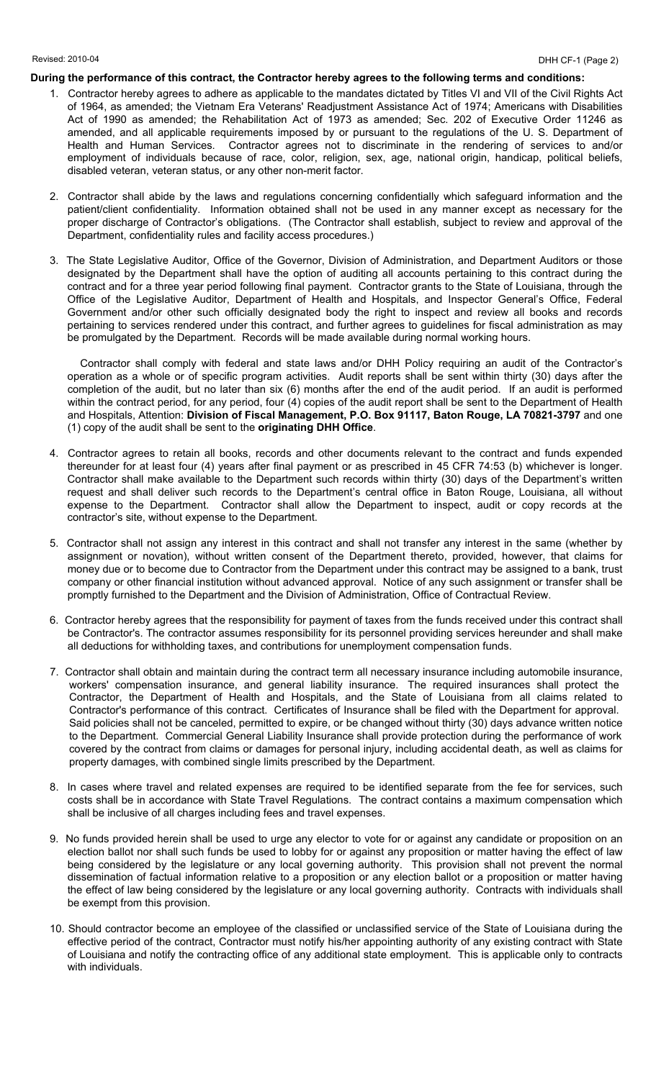## **During the performance of this contract, the Contractor hereby agrees to the following terms and conditions:**

- 1. Contractor hereby agrees to adhere as applicable to the mandates dictated by Titles VI and VII of the Civil Rights Act of 1964, as amended; the Vietnam Era Veterans' Readjustment Assistance Act of 1974; Americans with Disabilities Act of 1990 as amended; the Rehabilitation Act of 1973 as amended; Sec. 202 of Executive Order 11246 as amended, and all applicable requirements imposed by or pursuant to the regulations of the U. S. Department of Health and Human Services. Contractor agrees not to discriminate in the rendering of services to and/or employment of individuals because of race, color, religion, sex, age, national origin, handicap, political beliefs, disabled veteran, veteran status, or any other non-merit factor.
- 2. Contractor shall abide by the laws and regulations concerning confidentially which safeguard information and the patient/client confidentiality. Information obtained shall not be used in any manner except as necessary for the proper discharge of Contractor's obligations. (The Contractor shall establish, subject to review and approval of the Department, confidentiality rules and facility access procedures.)
- 3. The State Legislative Auditor, Office of the Governor, Division of Administration, and Department Auditors or those designated by the Department shall have the option of auditing all accounts pertaining to this contract during the contract and for a three year period following final payment. Contractor grants to the State of Louisiana, through the Office of the Legislative Auditor, Department of Health and Hospitals, and Inspector General's Office, Federal Government and/or other such officially designated body the right to inspect and review all books and records pertaining to services rendered under this contract, and further agrees to guidelines for fiscal administration as may be promulgated by the Department. Records will be made available during normal working hours.

Contractor shall comply with federal and state laws and/or DHH Policy requiring an audit of the Contractor's operation as a whole or of specific program activities. Audit reports shall be sent within thirty (30) days after the completion of the audit, but no later than six (6) months after the end of the audit period. If an audit is performed within the contract period, for any period, four (4) copies of the audit report shall be sent to the Department of Health and Hospitals, Attention: **Division of Fiscal Management, P.O. Box 91117, Baton Rouge, LA 70821-3797** and one (1) copy of the audit shall be sent to the **originating DHH Office**.

- 4. Contractor agrees to retain all books, records and other documents relevant to the contract and funds expended thereunder for at least four (4) years after final payment or as prescribed in 45 CFR 74:53 (b) whichever is longer. Contractor shall make available to the Department such records within thirty (30) days of the Department's written request and shall deliver such records to the Department's central office in Baton Rouge, Louisiana, all without expense to the Department. Contractor shall allow the Department to inspect, audit or copy records at the contractor's site, without expense to the Department.
- 5. Contractor shall not assign any interest in this contract and shall not transfer any interest in the same (whether by assignment or novation), without written consent of the Department thereto, provided, however, that claims for money due or to become due to Contractor from the Department under this contract may be assigned to a bank, trust company or other financial institution without advanced approval. Notice of any such assignment or transfer shall be promptly furnished to the Department and the Division of Administration, Office of Contractual Review.
- 6. Contractor hereby agrees that the responsibility for payment of taxes from the funds received under this contract shall be Contractor's. The contractor assumes responsibility for its personnel providing services hereunder and shall make all deductions for withholding taxes, and contributions for unemployment compensation funds.
- 7. Contractor shall obtain and maintain during the contract term all necessary insurance including automobile insurance, workers' compensation insurance, and general liability insurance. The required insurances shall protect the Contractor, the Department of Health and Hospitals, and the State of Louisiana from all claims related to Contractor's performance of this contract. Certificates of Insurance shall be filed with the Department for approval. Said policies shall not be canceled, permitted to expire, or be changed without thirty (30) days advance written notice to the Department. Commercial General Liability Insurance shall provide protection during the performance of work covered by the contract from claims or damages for personal injury, including accidental death, as well as claims for property damages, with combined single limits prescribed by the Department.
- 8. In cases where travel and related expenses are required to be identified separate from the fee for services, such costs shall be in accordance with State Travel Regulations. The contract contains a maximum compensation which shall be inclusive of all charges including fees and travel expenses.
- 9. No funds provided herein shall be used to urge any elector to vote for or against any candidate or proposition on an election ballot nor shall such funds be used to lobby for or against any proposition or matter having the effect of law being considered by the legislature or any local governing authority. This provision shall not prevent the normal dissemination of factual information relative to a proposition or any election ballot or a proposition or matter having the effect of law being considered by the legislature or any local governing authority. Contracts with individuals shall be exempt from this provision.
- 10. Should contractor become an employee of the classified or unclassified service of the State of Louisiana during the effective period of the contract, Contractor must notify his/her appointing authority of any existing contract with State of Louisiana and notify the contracting office of any additional state employment. This is applicable only to contracts with individuals.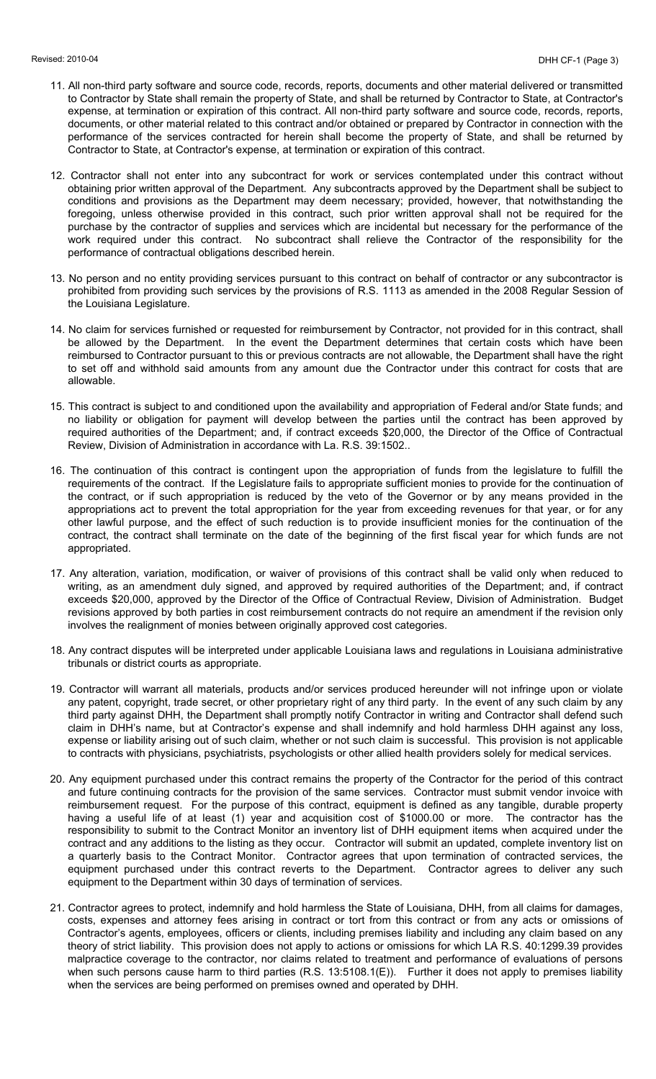- 11. All non-third party software and source code, records, reports, documents and other material delivered or transmitted to Contractor by State shall remain the property of State, and shall be returned by Contractor to State, at Contractor's expense, at termination or expiration of this contract. All non-third party software and source code, records, reports, documents, or other material related to this contract and/or obtained or prepared by Contractor in connection with the performance of the services contracted for herein shall become the property of State, and shall be returned by Contractor to State, at Contractor's expense, at termination or expiration of this contract.
- 12. Contractor shall not enter into any subcontract for work or services contemplated under this contract without obtaining prior written approval of the Department. Any subcontracts approved by the Department shall be subject to conditions and provisions as the Department may deem necessary; provided, however, that notwithstanding the foregoing, unless otherwise provided in this contract, such prior written approval shall not be required for the purchase by the contractor of supplies and services which are incidental but necessary for the performance of the work required under this contract. No subcontract shall relieve the Contractor of the responsibility for the performance of contractual obligations described herein.
- 13. No person and no entity providing services pursuant to this contract on behalf of contractor or any subcontractor is prohibited from providing such services by the provisions of R.S. 1113 as amended in the 2008 Regular Session of the Louisiana Legislature.
- 14. No claim for services furnished or requested for reimbursement by Contractor, not provided for in this contract, shall be allowed by the Department. In the event the Department determines that certain costs which have been reimbursed to Contractor pursuant to this or previous contracts are not allowable, the Department shall have the right to set off and withhold said amounts from any amount due the Contractor under this contract for costs that are allowable.
- 15. This contract is subject to and conditioned upon the availability and appropriation of Federal and/or State funds; and no liability or obligation for payment will develop between the parties until the contract has been approved by required authorities of the Department; and, if contract exceeds \$20,000, the Director of the Office of Contractual Review, Division of Administration in accordance with La. R.S. 39:1502..
- 16. The continuation of this contract is contingent upon the appropriation of funds from the legislature to fulfill the requirements of the contract. If the Legislature fails to appropriate sufficient monies to provide for the continuation of the contract, or if such appropriation is reduced by the veto of the Governor or by any means provided in the appropriations act to prevent the total appropriation for the year from exceeding revenues for that year, or for any other lawful purpose, and the effect of such reduction is to provide insufficient monies for the continuation of the contract, the contract shall terminate on the date of the beginning of the first fiscal year for which funds are not appropriated.
- 17. Any alteration, variation, modification, or waiver of provisions of this contract shall be valid only when reduced to writing, as an amendment duly signed, and approved by required authorities of the Department; and, if contract exceeds \$20,000, approved by the Director of the Office of Contractual Review, Division of Administration. Budget revisions approved by both parties in cost reimbursement contracts do not require an amendment if the revision only involves the realignment of monies between originally approved cost categories.
- 18. Any contract disputes will be interpreted under applicable Louisiana laws and regulations in Louisiana administrative tribunals or district courts as appropriate.
- 19. Contractor will warrant all materials, products and/or services produced hereunder will not infringe upon or violate any patent, copyright, trade secret, or other proprietary right of any third party. In the event of any such claim by any third party against DHH, the Department shall promptly notify Contractor in writing and Contractor shall defend such claim in DHH's name, but at Contractor's expense and shall indemnify and hold harmless DHH against any loss, expense or liability arising out of such claim, whether or not such claim is successful. This provision is not applicable to contracts with physicians, psychiatrists, psychologists or other allied health providers solely for medical services.
- 20. Any equipment purchased under this contract remains the property of the Contractor for the period of this contract and future continuing contracts for the provision of the same services. Contractor must submit vendor invoice with reimbursement request. For the purpose of this contract, equipment is defined as any tangible, durable property having a useful life of at least (1) year and acquisition cost of \$1000.00 or more. The contractor has the responsibility to submit to the Contract Monitor an inventory list of DHH equipment items when acquired under the contract and any additions to the listing as they occur. Contractor will submit an updated, complete inventory list on a quarterly basis to the Contract Monitor. Contractor agrees that upon termination of contracted services, the equipment purchased under this contract reverts to the Department. Contractor agrees to deliver any such equipment to the Department within 30 days of termination of services.
- 21. Contractor agrees to protect, indemnify and hold harmless the State of Louisiana, DHH, from all claims for damages, costs, expenses and attorney fees arising in contract or tort from this contract or from any acts or omissions of Contractor's agents, employees, officers or clients, including premises liability and including any claim based on any theory of strict liability. This provision does not apply to actions or omissions for which LA R.S. 40:1299.39 provides malpractice coverage to the contractor, nor claims related to treatment and performance of evaluations of persons when such persons cause harm to third parties (R.S. 13:5108.1(E)). Further it does not apply to premises liability when the services are being performed on premises owned and operated by DHH.